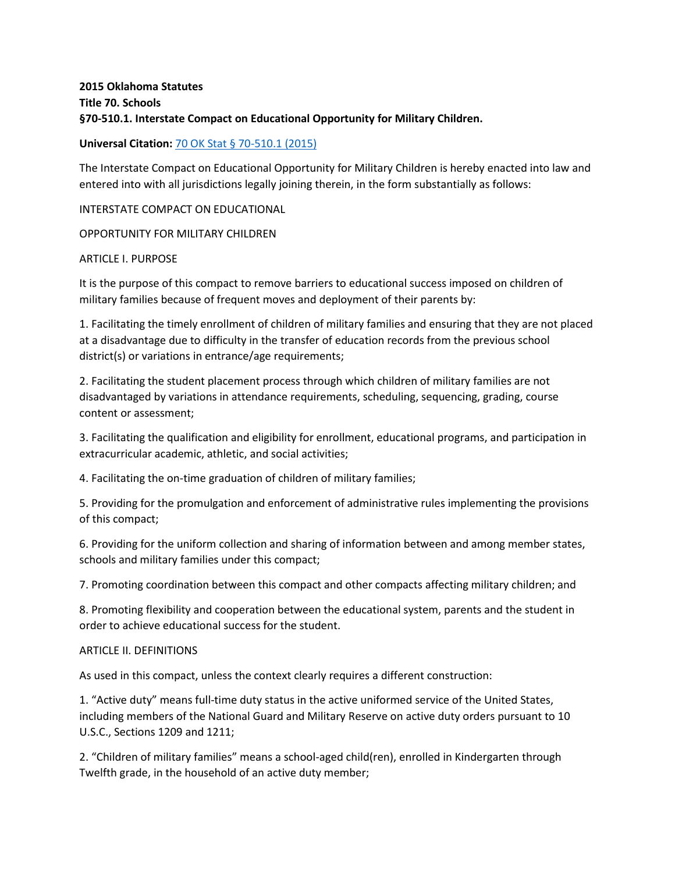# **2015 Oklahoma Statutes Title 70. Schools §70-510.1. Interstate Compact on Educational Opportunity for Military Children.**

## **Universal Citation:** [70 OK Stat § 70-510.1 \(2015\)](http://law.justia.com/citations.html)

The Interstate Compact on Educational Opportunity for Military Children is hereby enacted into law and entered into with all jurisdictions legally joining therein, in the form substantially as follows:

### INTERSTATE COMPACT ON EDUCATIONAL

OPPORTUNITY FOR MILITARY CHILDREN

#### ARTICLE I. PURPOSE

It is the purpose of this compact to remove barriers to educational success imposed on children of military families because of frequent moves and deployment of their parents by:

1. Facilitating the timely enrollment of children of military families and ensuring that they are not placed at a disadvantage due to difficulty in the transfer of education records from the previous school district(s) or variations in entrance/age requirements;

2. Facilitating the student placement process through which children of military families are not disadvantaged by variations in attendance requirements, scheduling, sequencing, grading, course content or assessment;

3. Facilitating the qualification and eligibility for enrollment, educational programs, and participation in extracurricular academic, athletic, and social activities;

4. Facilitating the on-time graduation of children of military families;

5. Providing for the promulgation and enforcement of administrative rules implementing the provisions of this compact;

6. Providing for the uniform collection and sharing of information between and among member states, schools and military families under this compact;

7. Promoting coordination between this compact and other compacts affecting military children; and

8. Promoting flexibility and cooperation between the educational system, parents and the student in order to achieve educational success for the student.

#### ARTICLE II. DEFINITIONS

As used in this compact, unless the context clearly requires a different construction:

1. "Active duty" means full-time duty status in the active uniformed service of the United States, including members of the National Guard and Military Reserve on active duty orders pursuant to 10 U.S.C., Sections 1209 and 1211;

2. "Children of military families" means a school-aged child(ren), enrolled in Kindergarten through Twelfth grade, in the household of an active duty member;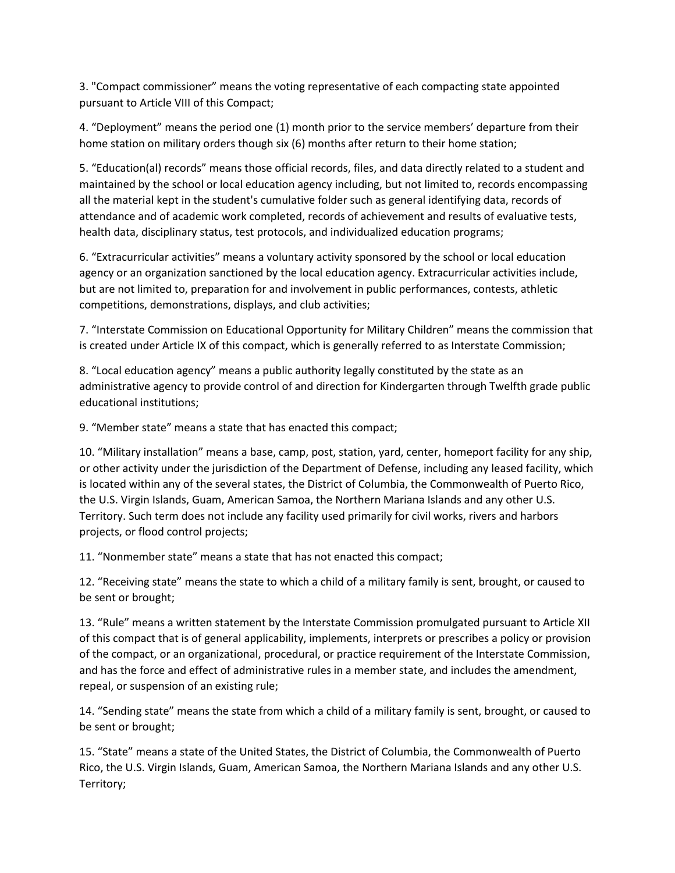3. "Compact commissioner" means the voting representative of each compacting state appointed pursuant to Article VIII of this Compact;

4. "Deployment" means the period one (1) month prior to the service members' departure from their home station on military orders though six (6) months after return to their home station;

5. "Education(al) records" means those official records, files, and data directly related to a student and maintained by the school or local education agency including, but not limited to, records encompassing all the material kept in the student's cumulative folder such as general identifying data, records of attendance and of academic work completed, records of achievement and results of evaluative tests, health data, disciplinary status, test protocols, and individualized education programs;

6. "Extracurricular activities" means a voluntary activity sponsored by the school or local education agency or an organization sanctioned by the local education agency. Extracurricular activities include, but are not limited to, preparation for and involvement in public performances, contests, athletic competitions, demonstrations, displays, and club activities;

7. "Interstate Commission on Educational Opportunity for Military Children" means the commission that is created under Article IX of this compact, which is generally referred to as Interstate Commission;

8. "Local education agency" means a public authority legally constituted by the state as an administrative agency to provide control of and direction for Kindergarten through Twelfth grade public educational institutions;

9. "Member state" means a state that has enacted this compact;

10. "Military installation" means a base, camp, post, station, yard, center, homeport facility for any ship, or other activity under the jurisdiction of the Department of Defense, including any leased facility, which is located within any of the several states, the District of Columbia, the Commonwealth of Puerto Rico, the U.S. Virgin Islands, Guam, American Samoa, the Northern Mariana Islands and any other U.S. Territory. Such term does not include any facility used primarily for civil works, rivers and harbors projects, or flood control projects;

11. "Nonmember state" means a state that has not enacted this compact;

12. "Receiving state" means the state to which a child of a military family is sent, brought, or caused to be sent or brought;

13. "Rule" means a written statement by the Interstate Commission promulgated pursuant to Article XII of this compact that is of general applicability, implements, interprets or prescribes a policy or provision of the compact, or an organizational, procedural, or practice requirement of the Interstate Commission, and has the force and effect of administrative rules in a member state, and includes the amendment, repeal, or suspension of an existing rule;

14. "Sending state" means the state from which a child of a military family is sent, brought, or caused to be sent or brought;

15. "State" means a state of the United States, the District of Columbia, the Commonwealth of Puerto Rico, the U.S. Virgin Islands, Guam, American Samoa, the Northern Mariana Islands and any other U.S. Territory;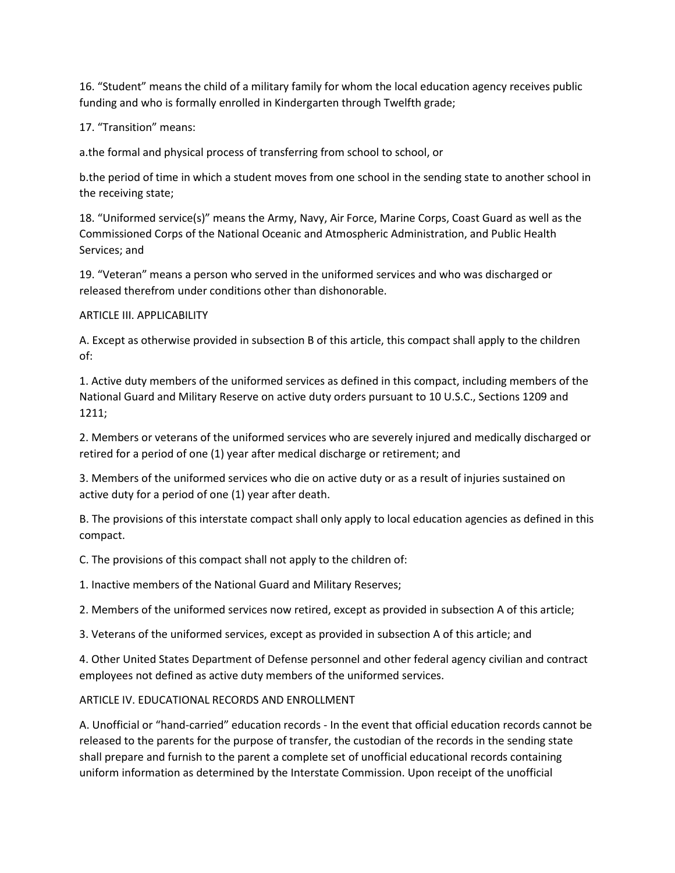16. "Student" means the child of a military family for whom the local education agency receives public funding and who is formally enrolled in Kindergarten through Twelfth grade;

17. "Transition" means:

a.the formal and physical process of transferring from school to school, or

b.the period of time in which a student moves from one school in the sending state to another school in the receiving state;

18. "Uniformed service(s)" means the Army, Navy, Air Force, Marine Corps, Coast Guard as well as the Commissioned Corps of the National Oceanic and Atmospheric Administration, and Public Health Services; and

19. "Veteran" means a person who served in the uniformed services and who was discharged or released therefrom under conditions other than dishonorable.

#### ARTICLE III. APPLICABILITY

A. Except as otherwise provided in subsection B of this article, this compact shall apply to the children of:

1. Active duty members of the uniformed services as defined in this compact, including members of the National Guard and Military Reserve on active duty orders pursuant to 10 U.S.C., Sections 1209 and 1211;

2. Members or veterans of the uniformed services who are severely injured and medically discharged or retired for a period of one (1) year after medical discharge or retirement; and

3. Members of the uniformed services who die on active duty or as a result of injuries sustained on active duty for a period of one (1) year after death.

B. The provisions of this interstate compact shall only apply to local education agencies as defined in this compact.

C. The provisions of this compact shall not apply to the children of:

1. Inactive members of the National Guard and Military Reserves;

2. Members of the uniformed services now retired, except as provided in subsection A of this article;

3. Veterans of the uniformed services, except as provided in subsection A of this article; and

4. Other United States Department of Defense personnel and other federal agency civilian and contract employees not defined as active duty members of the uniformed services.

#### ARTICLE IV. EDUCATIONAL RECORDS AND ENROLLMENT

A. Unofficial or "hand-carried" education records - In the event that official education records cannot be released to the parents for the purpose of transfer, the custodian of the records in the sending state shall prepare and furnish to the parent a complete set of unofficial educational records containing uniform information as determined by the Interstate Commission. Upon receipt of the unofficial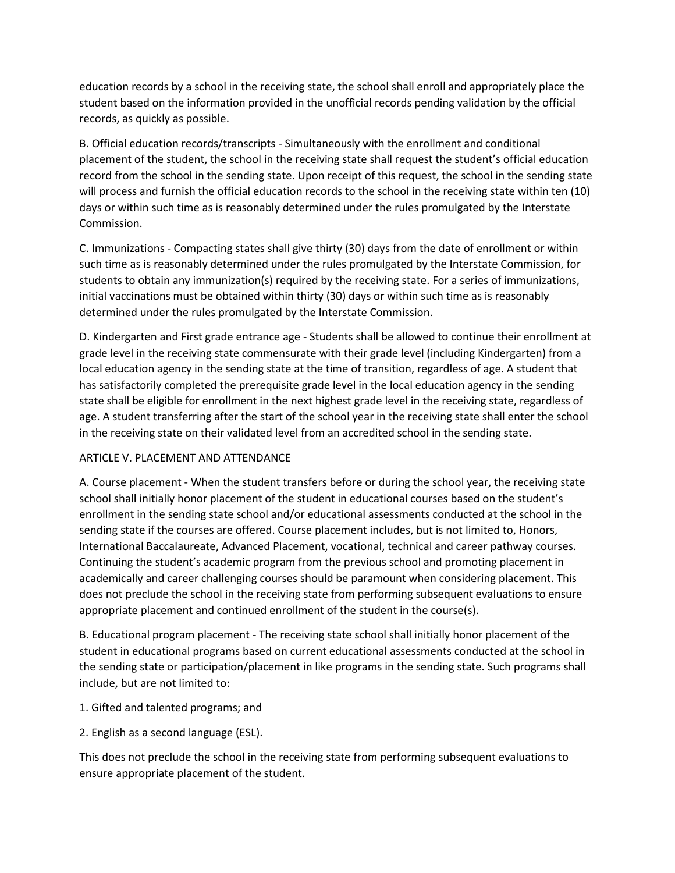education records by a school in the receiving state, the school shall enroll and appropriately place the student based on the information provided in the unofficial records pending validation by the official records, as quickly as possible.

B. Official education records/transcripts - Simultaneously with the enrollment and conditional placement of the student, the school in the receiving state shall request the student's official education record from the school in the sending state. Upon receipt of this request, the school in the sending state will process and furnish the official education records to the school in the receiving state within ten (10) days or within such time as is reasonably determined under the rules promulgated by the Interstate Commission.

C. Immunizations - Compacting states shall give thirty (30) days from the date of enrollment or within such time as is reasonably determined under the rules promulgated by the Interstate Commission, for students to obtain any immunization(s) required by the receiving state. For a series of immunizations, initial vaccinations must be obtained within thirty (30) days or within such time as is reasonably determined under the rules promulgated by the Interstate Commission.

D. Kindergarten and First grade entrance age - Students shall be allowed to continue their enrollment at grade level in the receiving state commensurate with their grade level (including Kindergarten) from a local education agency in the sending state at the time of transition, regardless of age. A student that has satisfactorily completed the prerequisite grade level in the local education agency in the sending state shall be eligible for enrollment in the next highest grade level in the receiving state, regardless of age. A student transferring after the start of the school year in the receiving state shall enter the school in the receiving state on their validated level from an accredited school in the sending state.

# ARTICLE V. PLACEMENT AND ATTENDANCE

A. Course placement - When the student transfers before or during the school year, the receiving state school shall initially honor placement of the student in educational courses based on the student's enrollment in the sending state school and/or educational assessments conducted at the school in the sending state if the courses are offered. Course placement includes, but is not limited to, Honors, International Baccalaureate, Advanced Placement, vocational, technical and career pathway courses. Continuing the student's academic program from the previous school and promoting placement in academically and career challenging courses should be paramount when considering placement. This does not preclude the school in the receiving state from performing subsequent evaluations to ensure appropriate placement and continued enrollment of the student in the course(s).

B. Educational program placement - The receiving state school shall initially honor placement of the student in educational programs based on current educational assessments conducted at the school in the sending state or participation/placement in like programs in the sending state. Such programs shall include, but are not limited to:

#### 1. Gifted and talented programs; and

2. English as a second language (ESL).

This does not preclude the school in the receiving state from performing subsequent evaluations to ensure appropriate placement of the student.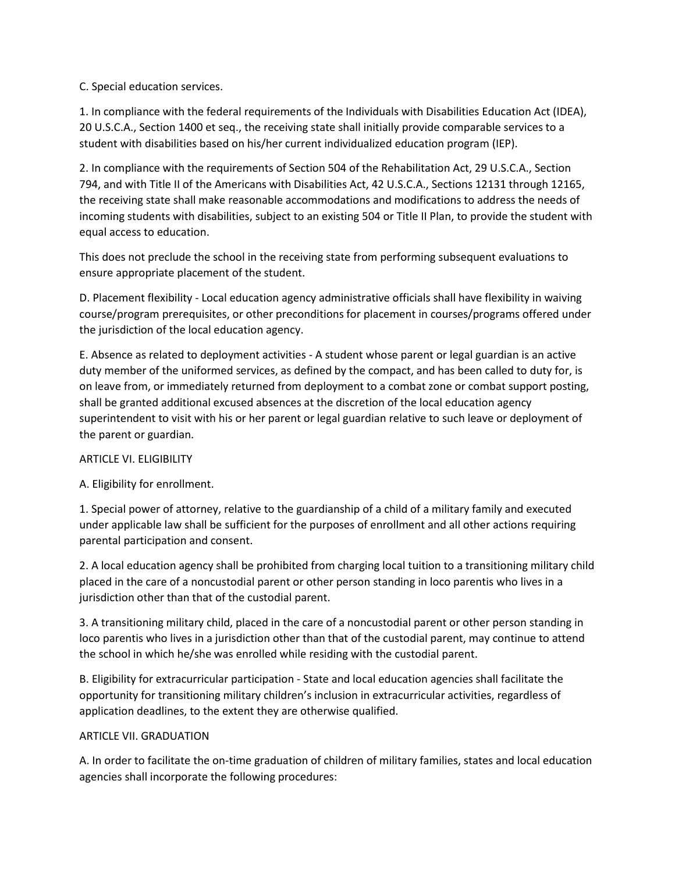## C. Special education services.

1. In compliance with the federal requirements of the Individuals with Disabilities Education Act (IDEA), 20 U.S.C.A., Section 1400 et seq., the receiving state shall initially provide comparable services to a student with disabilities based on his/her current individualized education program (IEP).

2. In compliance with the requirements of Section 504 of the Rehabilitation Act, 29 U.S.C.A., Section 794, and with Title II of the Americans with Disabilities Act, 42 U.S.C.A., Sections 12131 through 12165, the receiving state shall make reasonable accommodations and modifications to address the needs of incoming students with disabilities, subject to an existing 504 or Title II Plan, to provide the student with equal access to education.

This does not preclude the school in the receiving state from performing subsequent evaluations to ensure appropriate placement of the student.

D. Placement flexibility - Local education agency administrative officials shall have flexibility in waiving course/program prerequisites, or other preconditions for placement in courses/programs offered under the jurisdiction of the local education agency.

E. Absence as related to deployment activities - A student whose parent or legal guardian is an active duty member of the uniformed services, as defined by the compact, and has been called to duty for, is on leave from, or immediately returned from deployment to a combat zone or combat support posting, shall be granted additional excused absences at the discretion of the local education agency superintendent to visit with his or her parent or legal guardian relative to such leave or deployment of the parent or guardian.

# ARTICLE VI. ELIGIBILITY

A. Eligibility for enrollment.

1. Special power of attorney, relative to the guardianship of a child of a military family and executed under applicable law shall be sufficient for the purposes of enrollment and all other actions requiring parental participation and consent.

2. A local education agency shall be prohibited from charging local tuition to a transitioning military child placed in the care of a noncustodial parent or other person standing in loco parentis who lives in a jurisdiction other than that of the custodial parent.

3. A transitioning military child, placed in the care of a noncustodial parent or other person standing in loco parentis who lives in a jurisdiction other than that of the custodial parent, may continue to attend the school in which he/she was enrolled while residing with the custodial parent.

B. Eligibility for extracurricular participation - State and local education agencies shall facilitate the opportunity for transitioning military children's inclusion in extracurricular activities, regardless of application deadlines, to the extent they are otherwise qualified.

#### ARTICLE VII. GRADUATION

A. In order to facilitate the on-time graduation of children of military families, states and local education agencies shall incorporate the following procedures: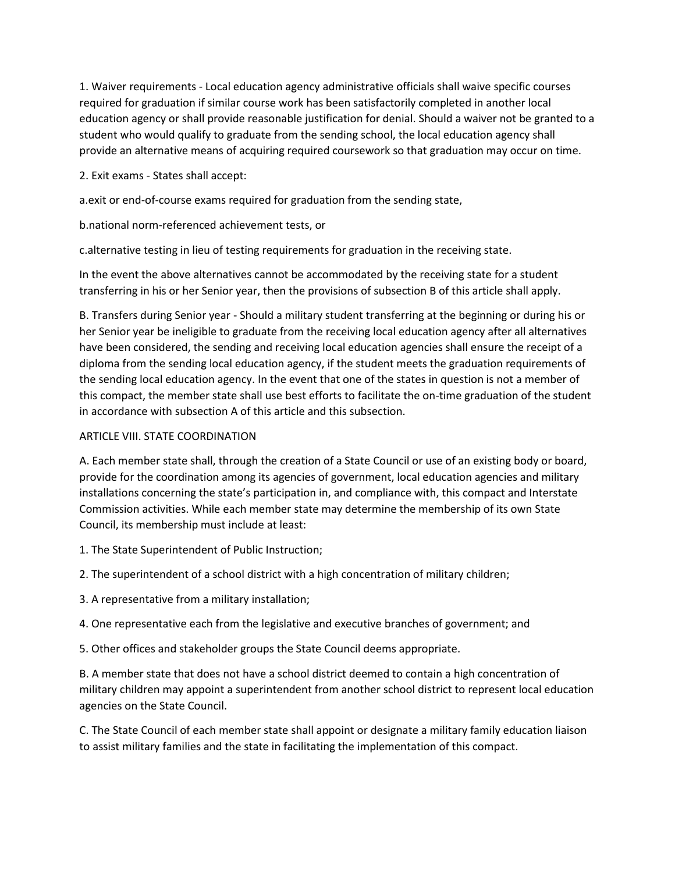1. Waiver requirements - Local education agency administrative officials shall waive specific courses required for graduation if similar course work has been satisfactorily completed in another local education agency or shall provide reasonable justification for denial. Should a waiver not be granted to a student who would qualify to graduate from the sending school, the local education agency shall provide an alternative means of acquiring required coursework so that graduation may occur on time.

2. Exit exams - States shall accept:

a.exit or end-of-course exams required for graduation from the sending state,

b.national norm-referenced achievement tests, or

c.alternative testing in lieu of testing requirements for graduation in the receiving state.

In the event the above alternatives cannot be accommodated by the receiving state for a student transferring in his or her Senior year, then the provisions of subsection B of this article shall apply.

B. Transfers during Senior year - Should a military student transferring at the beginning or during his or her Senior year be ineligible to graduate from the receiving local education agency after all alternatives have been considered, the sending and receiving local education agencies shall ensure the receipt of a diploma from the sending local education agency, if the student meets the graduation requirements of the sending local education agency. In the event that one of the states in question is not a member of this compact, the member state shall use best efforts to facilitate the on-time graduation of the student in accordance with subsection A of this article and this subsection.

## ARTICLE VIII. STATE COORDINATION

A. Each member state shall, through the creation of a State Council or use of an existing body or board, provide for the coordination among its agencies of government, local education agencies and military installations concerning the state's participation in, and compliance with, this compact and Interstate Commission activities. While each member state may determine the membership of its own State Council, its membership must include at least:

- 1. The State Superintendent of Public Instruction;
- 2. The superintendent of a school district with a high concentration of military children;
- 3. A representative from a military installation;

4. One representative each from the legislative and executive branches of government; and

5. Other offices and stakeholder groups the State Council deems appropriate.

B. A member state that does not have a school district deemed to contain a high concentration of military children may appoint a superintendent from another school district to represent local education agencies on the State Council.

C. The State Council of each member state shall appoint or designate a military family education liaison to assist military families and the state in facilitating the implementation of this compact.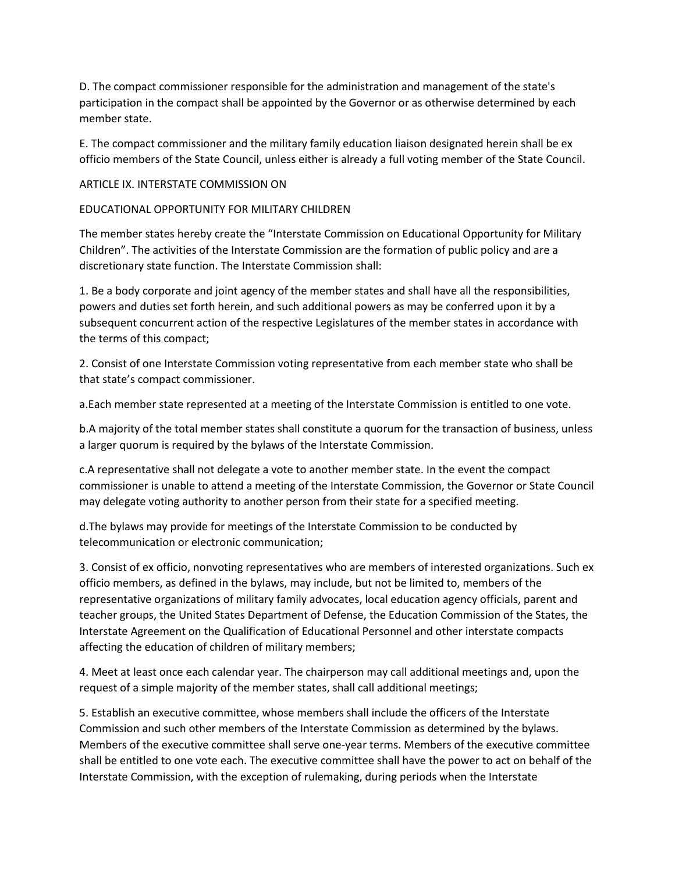D. The compact commissioner responsible for the administration and management of the state's participation in the compact shall be appointed by the Governor or as otherwise determined by each member state.

E. The compact commissioner and the military family education liaison designated herein shall be ex officio members of the State Council, unless either is already a full voting member of the State Council.

#### ARTICLE IX. INTERSTATE COMMISSION ON

## EDUCATIONAL OPPORTUNITY FOR MILITARY CHILDREN

The member states hereby create the "Interstate Commission on Educational Opportunity for Military Children". The activities of the Interstate Commission are the formation of public policy and are a discretionary state function. The Interstate Commission shall:

1. Be a body corporate and joint agency of the member states and shall have all the responsibilities, powers and duties set forth herein, and such additional powers as may be conferred upon it by a subsequent concurrent action of the respective Legislatures of the member states in accordance with the terms of this compact;

2. Consist of one Interstate Commission voting representative from each member state who shall be that state's compact commissioner.

a.Each member state represented at a meeting of the Interstate Commission is entitled to one vote.

b.A majority of the total member states shall constitute a quorum for the transaction of business, unless a larger quorum is required by the bylaws of the Interstate Commission.

c.A representative shall not delegate a vote to another member state. In the event the compact commissioner is unable to attend a meeting of the Interstate Commission, the Governor or State Council may delegate voting authority to another person from their state for a specified meeting.

d.The bylaws may provide for meetings of the Interstate Commission to be conducted by telecommunication or electronic communication;

3. Consist of ex officio, nonvoting representatives who are members of interested organizations. Such ex officio members, as defined in the bylaws, may include, but not be limited to, members of the representative organizations of military family advocates, local education agency officials, parent and teacher groups, the United States Department of Defense, the Education Commission of the States, the Interstate Agreement on the Qualification of Educational Personnel and other interstate compacts affecting the education of children of military members;

4. Meet at least once each calendar year. The chairperson may call additional meetings and, upon the request of a simple majority of the member states, shall call additional meetings;

5. Establish an executive committee, whose members shall include the officers of the Interstate Commission and such other members of the Interstate Commission as determined by the bylaws. Members of the executive committee shall serve one-year terms. Members of the executive committee shall be entitled to one vote each. The executive committee shall have the power to act on behalf of the Interstate Commission, with the exception of rulemaking, during periods when the Interstate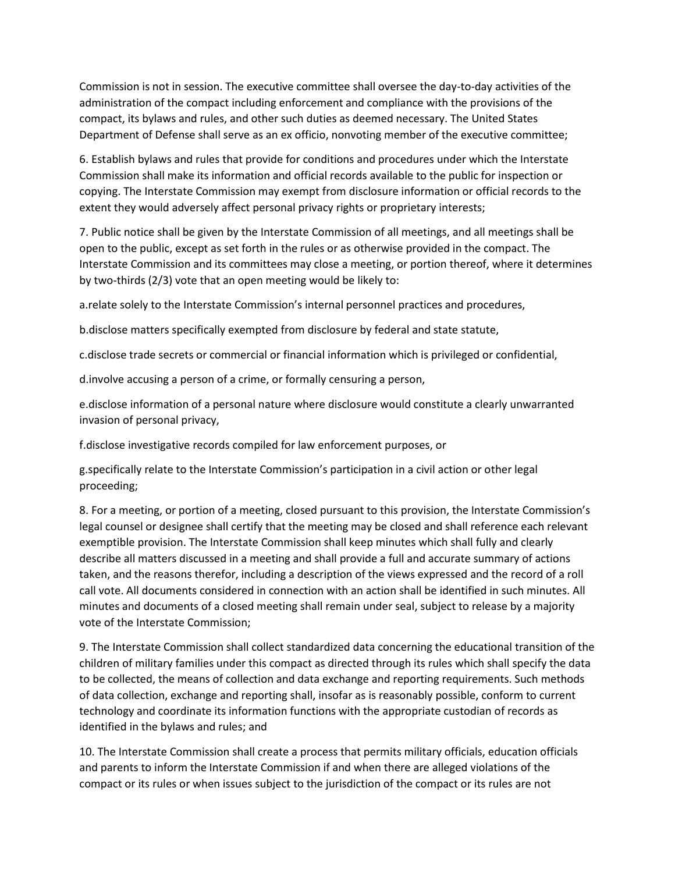Commission is not in session. The executive committee shall oversee the day-to-day activities of the administration of the compact including enforcement and compliance with the provisions of the compact, its bylaws and rules, and other such duties as deemed necessary. The United States Department of Defense shall serve as an ex officio, nonvoting member of the executive committee;

6. Establish bylaws and rules that provide for conditions and procedures under which the Interstate Commission shall make its information and official records available to the public for inspection or copying. The Interstate Commission may exempt from disclosure information or official records to the extent they would adversely affect personal privacy rights or proprietary interests;

7. Public notice shall be given by the Interstate Commission of all meetings, and all meetings shall be open to the public, except as set forth in the rules or as otherwise provided in the compact. The Interstate Commission and its committees may close a meeting, or portion thereof, where it determines by two-thirds (2/3) vote that an open meeting would be likely to:

a.relate solely to the Interstate Commission's internal personnel practices and procedures,

b.disclose matters specifically exempted from disclosure by federal and state statute,

c.disclose trade secrets or commercial or financial information which is privileged or confidential,

d.involve accusing a person of a crime, or formally censuring a person,

e.disclose information of a personal nature where disclosure would constitute a clearly unwarranted invasion of personal privacy,

f.disclose investigative records compiled for law enforcement purposes, or

g.specifically relate to the Interstate Commission's participation in a civil action or other legal proceeding;

8. For a meeting, or portion of a meeting, closed pursuant to this provision, the Interstate Commission's legal counsel or designee shall certify that the meeting may be closed and shall reference each relevant exemptible provision. The Interstate Commission shall keep minutes which shall fully and clearly describe all matters discussed in a meeting and shall provide a full and accurate summary of actions taken, and the reasons therefor, including a description of the views expressed and the record of a roll call vote. All documents considered in connection with an action shall be identified in such minutes. All minutes and documents of a closed meeting shall remain under seal, subject to release by a majority vote of the Interstate Commission;

9. The Interstate Commission shall collect standardized data concerning the educational transition of the children of military families under this compact as directed through its rules which shall specify the data to be collected, the means of collection and data exchange and reporting requirements. Such methods of data collection, exchange and reporting shall, insofar as is reasonably possible, conform to current technology and coordinate its information functions with the appropriate custodian of records as identified in the bylaws and rules; and

10. The Interstate Commission shall create a process that permits military officials, education officials and parents to inform the Interstate Commission if and when there are alleged violations of the compact or its rules or when issues subject to the jurisdiction of the compact or its rules are not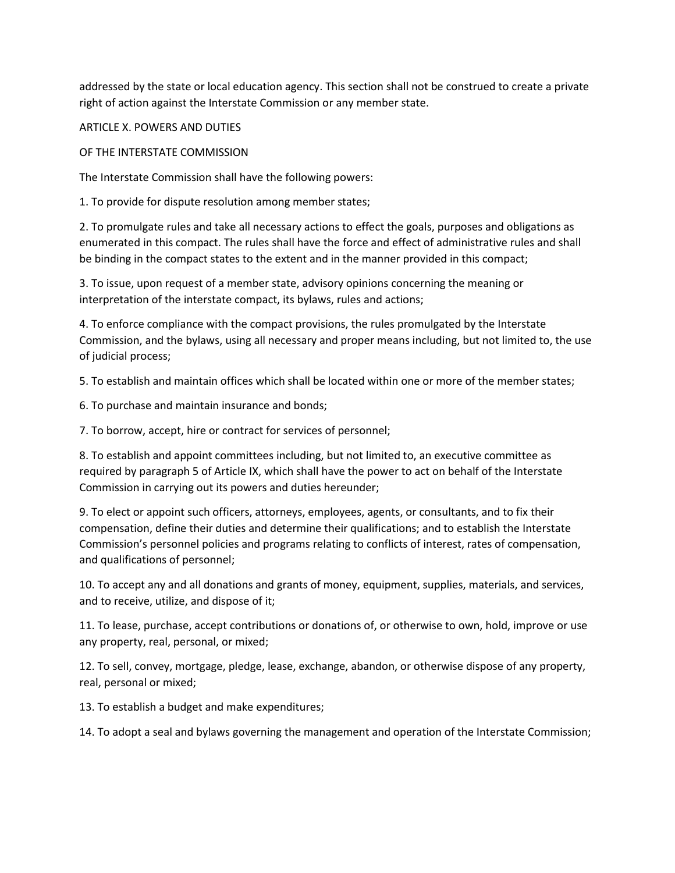addressed by the state or local education agency. This section shall not be construed to create a private right of action against the Interstate Commission or any member state.

ARTICLE X. POWERS AND DUTIES

OF THE INTERSTATE COMMISSION

The Interstate Commission shall have the following powers:

1. To provide for dispute resolution among member states;

2. To promulgate rules and take all necessary actions to effect the goals, purposes and obligations as enumerated in this compact. The rules shall have the force and effect of administrative rules and shall be binding in the compact states to the extent and in the manner provided in this compact;

3. To issue, upon request of a member state, advisory opinions concerning the meaning or interpretation of the interstate compact, its bylaws, rules and actions;

4. To enforce compliance with the compact provisions, the rules promulgated by the Interstate Commission, and the bylaws, using all necessary and proper means including, but not limited to, the use of judicial process;

5. To establish and maintain offices which shall be located within one or more of the member states;

6. To purchase and maintain insurance and bonds;

7. To borrow, accept, hire or contract for services of personnel;

8. To establish and appoint committees including, but not limited to, an executive committee as required by paragraph 5 of Article IX, which shall have the power to act on behalf of the Interstate Commission in carrying out its powers and duties hereunder;

9. To elect or appoint such officers, attorneys, employees, agents, or consultants, and to fix their compensation, define their duties and determine their qualifications; and to establish the Interstate Commission's personnel policies and programs relating to conflicts of interest, rates of compensation, and qualifications of personnel;

10. To accept any and all donations and grants of money, equipment, supplies, materials, and services, and to receive, utilize, and dispose of it;

11. To lease, purchase, accept contributions or donations of, or otherwise to own, hold, improve or use any property, real, personal, or mixed;

12. To sell, convey, mortgage, pledge, lease, exchange, abandon, or otherwise dispose of any property, real, personal or mixed;

13. To establish a budget and make expenditures;

14. To adopt a seal and bylaws governing the management and operation of the Interstate Commission;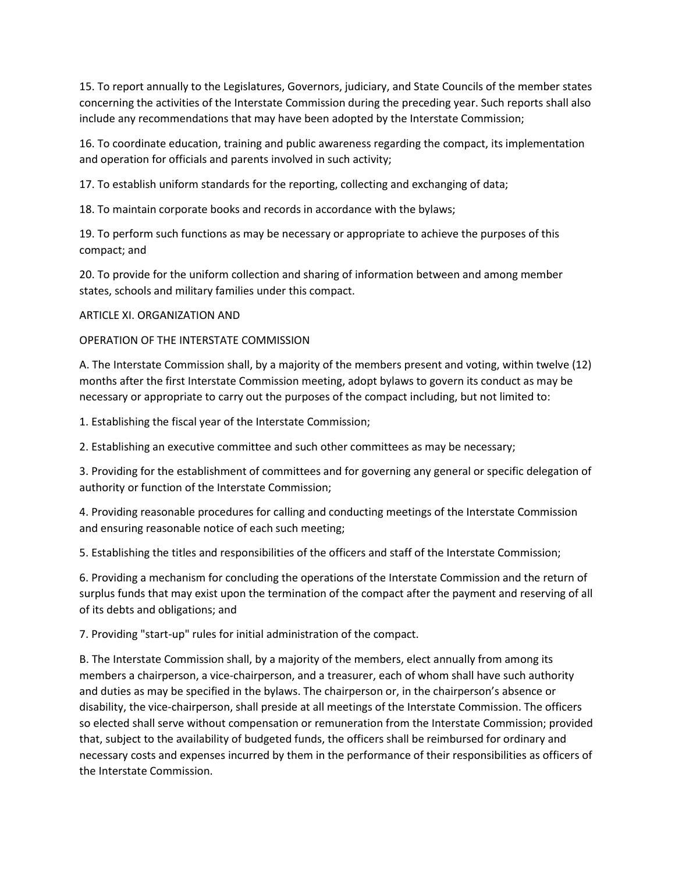15. To report annually to the Legislatures, Governors, judiciary, and State Councils of the member states concerning the activities of the Interstate Commission during the preceding year. Such reports shall also include any recommendations that may have been adopted by the Interstate Commission;

16. To coordinate education, training and public awareness regarding the compact, its implementation and operation for officials and parents involved in such activity;

17. To establish uniform standards for the reporting, collecting and exchanging of data;

18. To maintain corporate books and records in accordance with the bylaws;

19. To perform such functions as may be necessary or appropriate to achieve the purposes of this compact; and

20. To provide for the uniform collection and sharing of information between and among member states, schools and military families under this compact.

#### ARTICLE XI. ORGANIZATION AND

#### OPERATION OF THE INTERSTATE COMMISSION

A. The Interstate Commission shall, by a majority of the members present and voting, within twelve (12) months after the first Interstate Commission meeting, adopt bylaws to govern its conduct as may be necessary or appropriate to carry out the purposes of the compact including, but not limited to:

1. Establishing the fiscal year of the Interstate Commission;

2. Establishing an executive committee and such other committees as may be necessary;

3. Providing for the establishment of committees and for governing any general or specific delegation of authority or function of the Interstate Commission;

4. Providing reasonable procedures for calling and conducting meetings of the Interstate Commission and ensuring reasonable notice of each such meeting;

5. Establishing the titles and responsibilities of the officers and staff of the Interstate Commission;

6. Providing a mechanism for concluding the operations of the Interstate Commission and the return of surplus funds that may exist upon the termination of the compact after the payment and reserving of all of its debts and obligations; and

7. Providing "start-up" rules for initial administration of the compact.

B. The Interstate Commission shall, by a majority of the members, elect annually from among its members a chairperson, a vice-chairperson, and a treasurer, each of whom shall have such authority and duties as may be specified in the bylaws. The chairperson or, in the chairperson's absence or disability, the vice-chairperson, shall preside at all meetings of the Interstate Commission. The officers so elected shall serve without compensation or remuneration from the Interstate Commission; provided that, subject to the availability of budgeted funds, the officers shall be reimbursed for ordinary and necessary costs and expenses incurred by them in the performance of their responsibilities as officers of the Interstate Commission.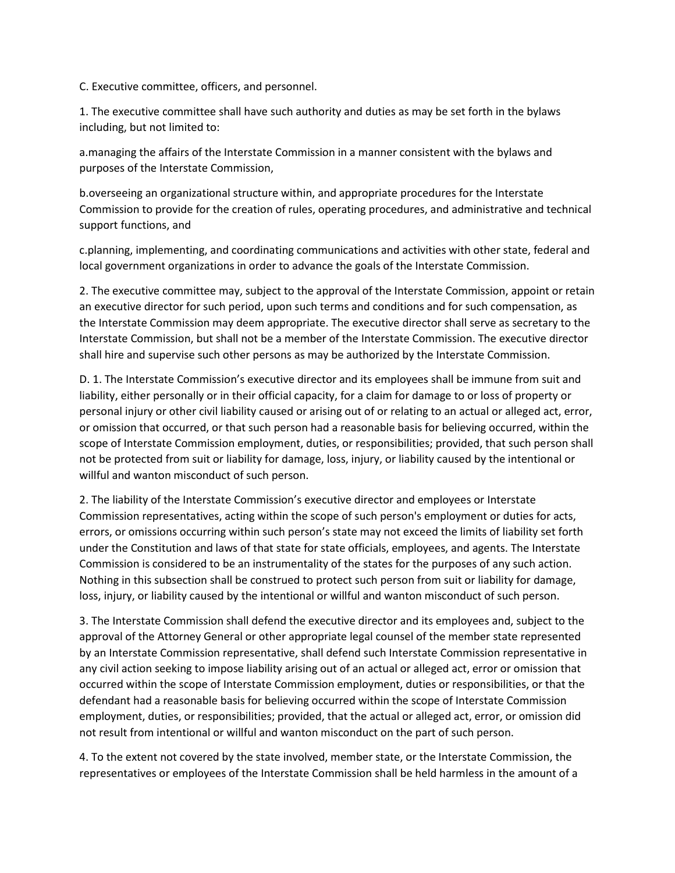C. Executive committee, officers, and personnel.

1. The executive committee shall have such authority and duties as may be set forth in the bylaws including, but not limited to:

a.managing the affairs of the Interstate Commission in a manner consistent with the bylaws and purposes of the Interstate Commission,

b.overseeing an organizational structure within, and appropriate procedures for the Interstate Commission to provide for the creation of rules, operating procedures, and administrative and technical support functions, and

c.planning, implementing, and coordinating communications and activities with other state, federal and local government organizations in order to advance the goals of the Interstate Commission.

2. The executive committee may, subject to the approval of the Interstate Commission, appoint or retain an executive director for such period, upon such terms and conditions and for such compensation, as the Interstate Commission may deem appropriate. The executive director shall serve as secretary to the Interstate Commission, but shall not be a member of the Interstate Commission. The executive director shall hire and supervise such other persons as may be authorized by the Interstate Commission.

D. 1. The Interstate Commission's executive director and its employees shall be immune from suit and liability, either personally or in their official capacity, for a claim for damage to or loss of property or personal injury or other civil liability caused or arising out of or relating to an actual or alleged act, error, or omission that occurred, or that such person had a reasonable basis for believing occurred, within the scope of Interstate Commission employment, duties, or responsibilities; provided, that such person shall not be protected from suit or liability for damage, loss, injury, or liability caused by the intentional or willful and wanton misconduct of such person.

2. The liability of the Interstate Commission's executive director and employees or Interstate Commission representatives, acting within the scope of such person's employment or duties for acts, errors, or omissions occurring within such person's state may not exceed the limits of liability set forth under the Constitution and laws of that state for state officials, employees, and agents. The Interstate Commission is considered to be an instrumentality of the states for the purposes of any such action. Nothing in this subsection shall be construed to protect such person from suit or liability for damage, loss, injury, or liability caused by the intentional or willful and wanton misconduct of such person.

3. The Interstate Commission shall defend the executive director and its employees and, subject to the approval of the Attorney General or other appropriate legal counsel of the member state represented by an Interstate Commission representative, shall defend such Interstate Commission representative in any civil action seeking to impose liability arising out of an actual or alleged act, error or omission that occurred within the scope of Interstate Commission employment, duties or responsibilities, or that the defendant had a reasonable basis for believing occurred within the scope of Interstate Commission employment, duties, or responsibilities; provided, that the actual or alleged act, error, or omission did not result from intentional or willful and wanton misconduct on the part of such person.

4. To the extent not covered by the state involved, member state, or the Interstate Commission, the representatives or employees of the Interstate Commission shall be held harmless in the amount of a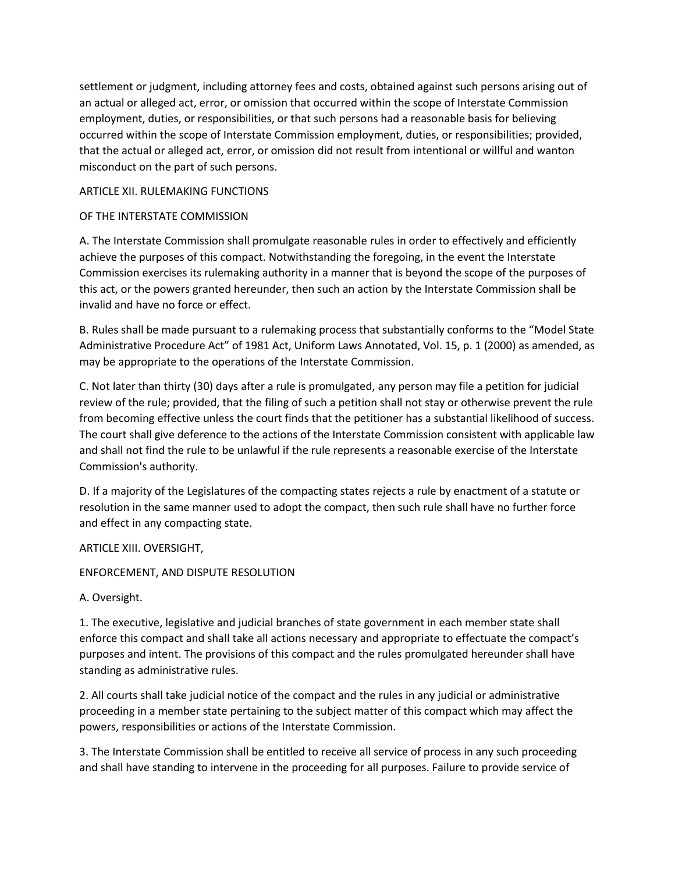settlement or judgment, including attorney fees and costs, obtained against such persons arising out of an actual or alleged act, error, or omission that occurred within the scope of Interstate Commission employment, duties, or responsibilities, or that such persons had a reasonable basis for believing occurred within the scope of Interstate Commission employment, duties, or responsibilities; provided, that the actual or alleged act, error, or omission did not result from intentional or willful and wanton misconduct on the part of such persons.

### ARTICLE XII. RULEMAKING FUNCTIONS

## OF THE INTERSTATE COMMISSION

A. The Interstate Commission shall promulgate reasonable rules in order to effectively and efficiently achieve the purposes of this compact. Notwithstanding the foregoing, in the event the Interstate Commission exercises its rulemaking authority in a manner that is beyond the scope of the purposes of this act, or the powers granted hereunder, then such an action by the Interstate Commission shall be invalid and have no force or effect.

B. Rules shall be made pursuant to a rulemaking process that substantially conforms to the "Model State Administrative Procedure Act" of 1981 Act, Uniform Laws Annotated, Vol. 15, p. 1 (2000) as amended, as may be appropriate to the operations of the Interstate Commission.

C. Not later than thirty (30) days after a rule is promulgated, any person may file a petition for judicial review of the rule; provided, that the filing of such a petition shall not stay or otherwise prevent the rule from becoming effective unless the court finds that the petitioner has a substantial likelihood of success. The court shall give deference to the actions of the Interstate Commission consistent with applicable law and shall not find the rule to be unlawful if the rule represents a reasonable exercise of the Interstate Commission's authority.

D. If a majority of the Legislatures of the compacting states rejects a rule by enactment of a statute or resolution in the same manner used to adopt the compact, then such rule shall have no further force and effect in any compacting state.

ARTICLE XIII. OVERSIGHT,

# ENFORCEMENT, AND DISPUTE RESOLUTION

A. Oversight.

1. The executive, legislative and judicial branches of state government in each member state shall enforce this compact and shall take all actions necessary and appropriate to effectuate the compact's purposes and intent. The provisions of this compact and the rules promulgated hereunder shall have standing as administrative rules.

2. All courts shall take judicial notice of the compact and the rules in any judicial or administrative proceeding in a member state pertaining to the subject matter of this compact which may affect the powers, responsibilities or actions of the Interstate Commission.

3. The Interstate Commission shall be entitled to receive all service of process in any such proceeding and shall have standing to intervene in the proceeding for all purposes. Failure to provide service of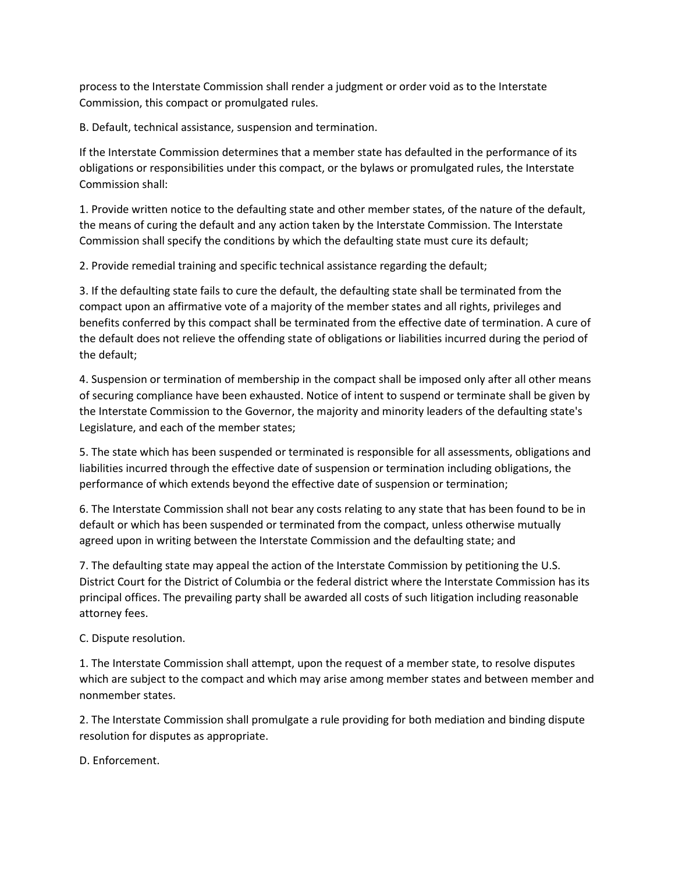process to the Interstate Commission shall render a judgment or order void as to the Interstate Commission, this compact or promulgated rules.

B. Default, technical assistance, suspension and termination.

If the Interstate Commission determines that a member state has defaulted in the performance of its obligations or responsibilities under this compact, or the bylaws or promulgated rules, the Interstate Commission shall:

1. Provide written notice to the defaulting state and other member states, of the nature of the default, the means of curing the default and any action taken by the Interstate Commission. The Interstate Commission shall specify the conditions by which the defaulting state must cure its default;

2. Provide remedial training and specific technical assistance regarding the default;

3. If the defaulting state fails to cure the default, the defaulting state shall be terminated from the compact upon an affirmative vote of a majority of the member states and all rights, privileges and benefits conferred by this compact shall be terminated from the effective date of termination. A cure of the default does not relieve the offending state of obligations or liabilities incurred during the period of the default;

4. Suspension or termination of membership in the compact shall be imposed only after all other means of securing compliance have been exhausted. Notice of intent to suspend or terminate shall be given by the Interstate Commission to the Governor, the majority and minority leaders of the defaulting state's Legislature, and each of the member states;

5. The state which has been suspended or terminated is responsible for all assessments, obligations and liabilities incurred through the effective date of suspension or termination including obligations, the performance of which extends beyond the effective date of suspension or termination;

6. The Interstate Commission shall not bear any costs relating to any state that has been found to be in default or which has been suspended or terminated from the compact, unless otherwise mutually agreed upon in writing between the Interstate Commission and the defaulting state; and

7. The defaulting state may appeal the action of the Interstate Commission by petitioning the U.S. District Court for the District of Columbia or the federal district where the Interstate Commission has its principal offices. The prevailing party shall be awarded all costs of such litigation including reasonable attorney fees.

C. Dispute resolution.

1. The Interstate Commission shall attempt, upon the request of a member state, to resolve disputes which are subject to the compact and which may arise among member states and between member and nonmember states.

2. The Interstate Commission shall promulgate a rule providing for both mediation and binding dispute resolution for disputes as appropriate.

D. Enforcement.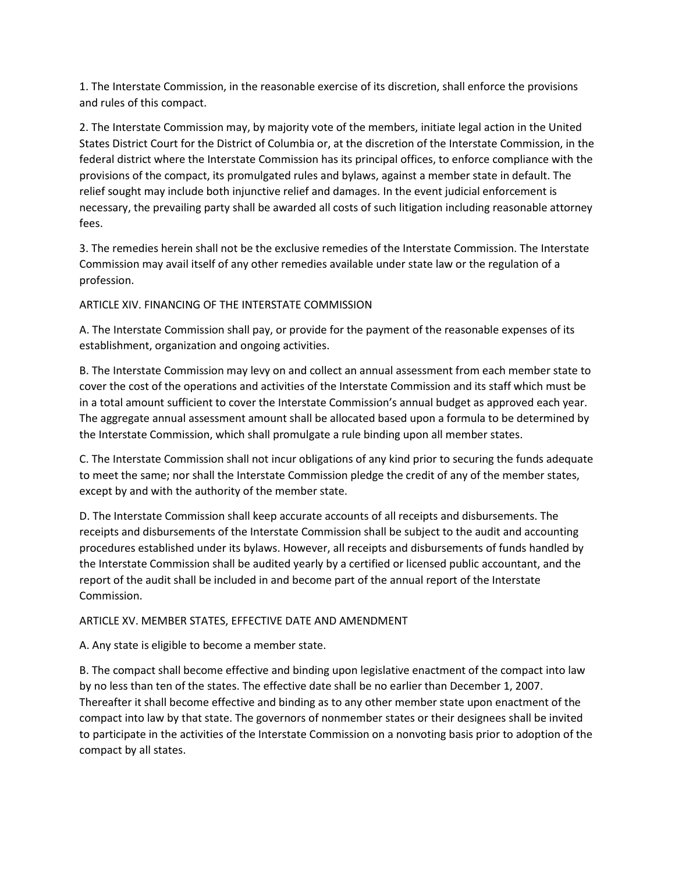1. The Interstate Commission, in the reasonable exercise of its discretion, shall enforce the provisions and rules of this compact.

2. The Interstate Commission may, by majority vote of the members, initiate legal action in the United States District Court for the District of Columbia or, at the discretion of the Interstate Commission, in the federal district where the Interstate Commission has its principal offices, to enforce compliance with the provisions of the compact, its promulgated rules and bylaws, against a member state in default. The relief sought may include both injunctive relief and damages. In the event judicial enforcement is necessary, the prevailing party shall be awarded all costs of such litigation including reasonable attorney fees.

3. The remedies herein shall not be the exclusive remedies of the Interstate Commission. The Interstate Commission may avail itself of any other remedies available under state law or the regulation of a profession.

ARTICLE XIV. FINANCING OF THE INTERSTATE COMMISSION

A. The Interstate Commission shall pay, or provide for the payment of the reasonable expenses of its establishment, organization and ongoing activities.

B. The Interstate Commission may levy on and collect an annual assessment from each member state to cover the cost of the operations and activities of the Interstate Commission and its staff which must be in a total amount sufficient to cover the Interstate Commission's annual budget as approved each year. The aggregate annual assessment amount shall be allocated based upon a formula to be determined by the Interstate Commission, which shall promulgate a rule binding upon all member states.

C. The Interstate Commission shall not incur obligations of any kind prior to securing the funds adequate to meet the same; nor shall the Interstate Commission pledge the credit of any of the member states, except by and with the authority of the member state.

D. The Interstate Commission shall keep accurate accounts of all receipts and disbursements. The receipts and disbursements of the Interstate Commission shall be subject to the audit and accounting procedures established under its bylaws. However, all receipts and disbursements of funds handled by the Interstate Commission shall be audited yearly by a certified or licensed public accountant, and the report of the audit shall be included in and become part of the annual report of the Interstate Commission.

#### ARTICLE XV. MEMBER STATES, EFFECTIVE DATE AND AMENDMENT

A. Any state is eligible to become a member state.

B. The compact shall become effective and binding upon legislative enactment of the compact into law by no less than ten of the states. The effective date shall be no earlier than December 1, 2007. Thereafter it shall become effective and binding as to any other member state upon enactment of the compact into law by that state. The governors of nonmember states or their designees shall be invited to participate in the activities of the Interstate Commission on a nonvoting basis prior to adoption of the compact by all states.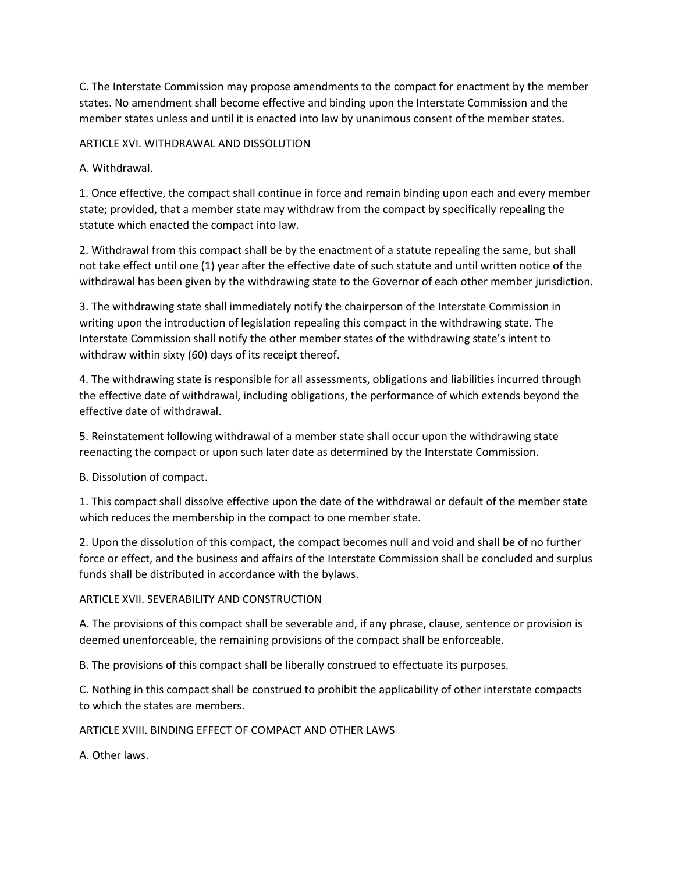C. The Interstate Commission may propose amendments to the compact for enactment by the member states. No amendment shall become effective and binding upon the Interstate Commission and the member states unless and until it is enacted into law by unanimous consent of the member states.

ARTICLE XVI. WITHDRAWAL AND DISSOLUTION

A. Withdrawal.

1. Once effective, the compact shall continue in force and remain binding upon each and every member state; provided, that a member state may withdraw from the compact by specifically repealing the statute which enacted the compact into law.

2. Withdrawal from this compact shall be by the enactment of a statute repealing the same, but shall not take effect until one (1) year after the effective date of such statute and until written notice of the withdrawal has been given by the withdrawing state to the Governor of each other member jurisdiction.

3. The withdrawing state shall immediately notify the chairperson of the Interstate Commission in writing upon the introduction of legislation repealing this compact in the withdrawing state. The Interstate Commission shall notify the other member states of the withdrawing state's intent to withdraw within sixty (60) days of its receipt thereof.

4. The withdrawing state is responsible for all assessments, obligations and liabilities incurred through the effective date of withdrawal, including obligations, the performance of which extends beyond the effective date of withdrawal.

5. Reinstatement following withdrawal of a member state shall occur upon the withdrawing state reenacting the compact or upon such later date as determined by the Interstate Commission.

B. Dissolution of compact.

1. This compact shall dissolve effective upon the date of the withdrawal or default of the member state which reduces the membership in the compact to one member state.

2. Upon the dissolution of this compact, the compact becomes null and void and shall be of no further force or effect, and the business and affairs of the Interstate Commission shall be concluded and surplus funds shall be distributed in accordance with the bylaws.

# ARTICLE XVII. SEVERABILITY AND CONSTRUCTION

A. The provisions of this compact shall be severable and, if any phrase, clause, sentence or provision is deemed unenforceable, the remaining provisions of the compact shall be enforceable.

B. The provisions of this compact shall be liberally construed to effectuate its purposes.

C. Nothing in this compact shall be construed to prohibit the applicability of other interstate compacts to which the states are members.

#### ARTICLE XVIII. BINDING EFFECT OF COMPACT AND OTHER LAWS

A. Other laws.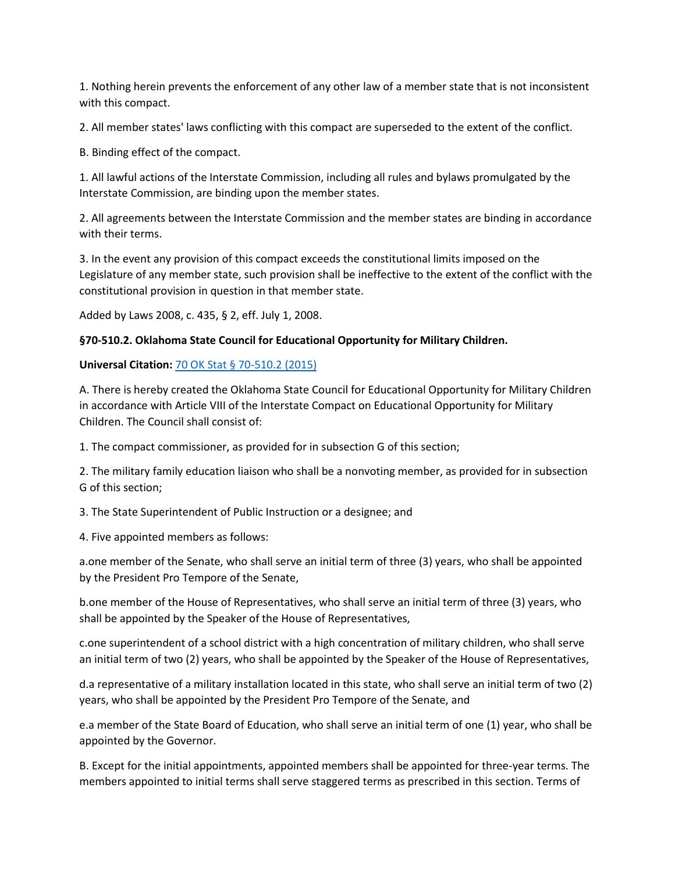1. Nothing herein prevents the enforcement of any other law of a member state that is not inconsistent with this compact.

2. All member states' laws conflicting with this compact are superseded to the extent of the conflict.

B. Binding effect of the compact.

1. All lawful actions of the Interstate Commission, including all rules and bylaws promulgated by the Interstate Commission, are binding upon the member states.

2. All agreements between the Interstate Commission and the member states are binding in accordance with their terms.

3. In the event any provision of this compact exceeds the constitutional limits imposed on the Legislature of any member state, such provision shall be ineffective to the extent of the conflict with the constitutional provision in question in that member state.

Added by Laws 2008, c. 435, § 2, eff. July 1, 2008.

## **§70-510.2. Oklahoma State Council for Educational Opportunity for Military Children.**

## **Universal Citation:** [70 OK Stat § 70-510.2 \(2015\)](http://law.justia.com/citations.html)

A. There is hereby created the Oklahoma State Council for Educational Opportunity for Military Children in accordance with Article VIII of the Interstate Compact on Educational Opportunity for Military Children. The Council shall consist of:

1. The compact commissioner, as provided for in subsection G of this section;

2. The military family education liaison who shall be a nonvoting member, as provided for in subsection G of this section;

3. The State Superintendent of Public Instruction or a designee; and

4. Five appointed members as follows:

a.one member of the Senate, who shall serve an initial term of three (3) years, who shall be appointed by the President Pro Tempore of the Senate,

b.one member of the House of Representatives, who shall serve an initial term of three (3) years, who shall be appointed by the Speaker of the House of Representatives,

c.one superintendent of a school district with a high concentration of military children, who shall serve an initial term of two (2) years, who shall be appointed by the Speaker of the House of Representatives,

d.a representative of a military installation located in this state, who shall serve an initial term of two (2) years, who shall be appointed by the President Pro Tempore of the Senate, and

e.a member of the State Board of Education, who shall serve an initial term of one (1) year, who shall be appointed by the Governor.

B. Except for the initial appointments, appointed members shall be appointed for three-year terms. The members appointed to initial terms shall serve staggered terms as prescribed in this section. Terms of